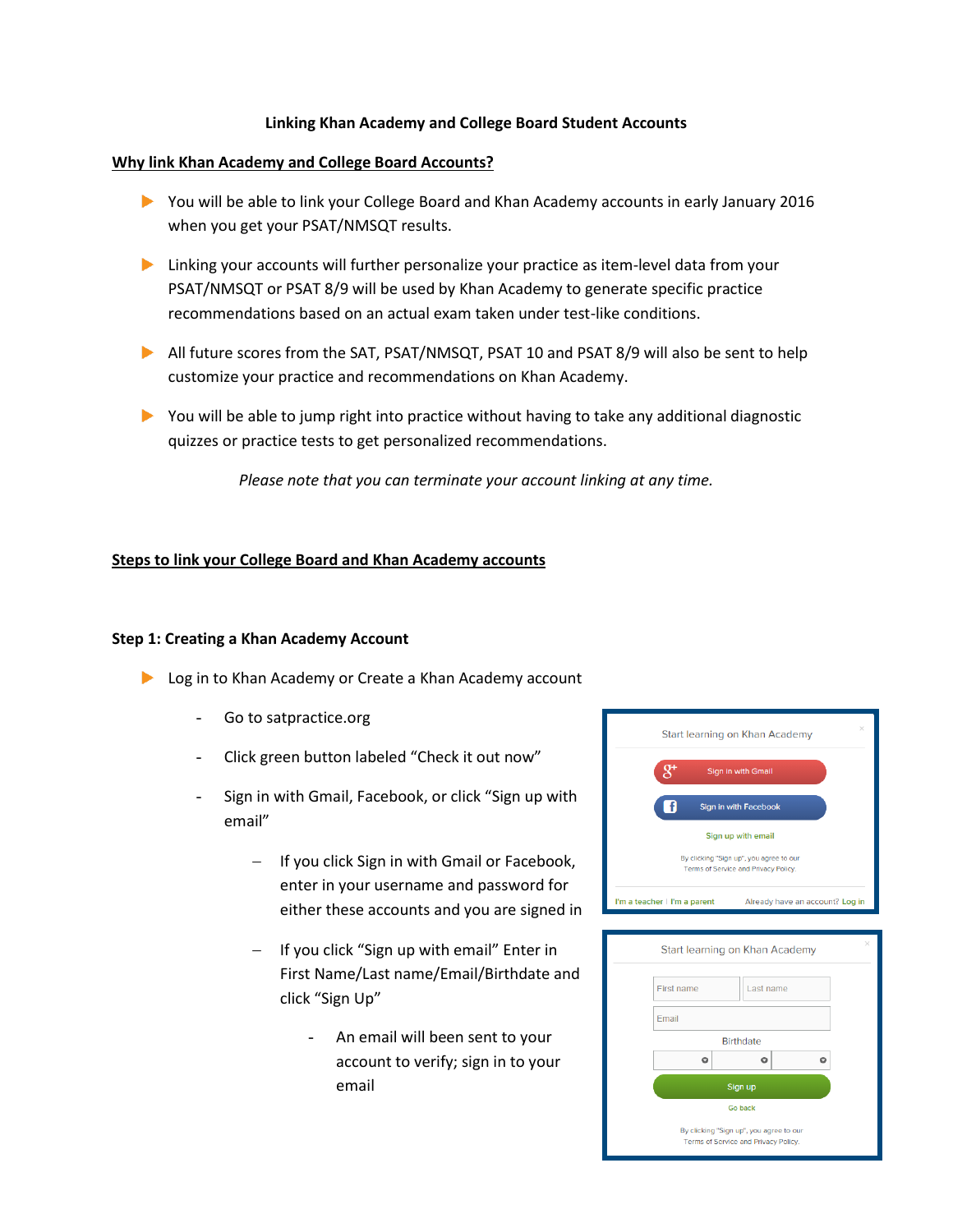## **Linking Khan Academy and College Board Student Accounts**

### **Why link Khan Academy and College Board Accounts?**

- You will be able to link your College Board and Khan Academy accounts in early January 2016 when you get your PSAT/NMSQT results.
- Linking your accounts will further personalize your practice as item-level data from your PSAT/NMSQT or PSAT 8/9 will be used by Khan Academy to generate specific practice recommendations based on an actual exam taken under test-like conditions.
- All future scores from the SAT, PSAT/NMSQT, PSAT 10 and PSAT 8/9 will also be sent to help customize your practice and recommendations on Khan Academy.
- You will be able to jump right into practice without having to take any additional diagnostic quizzes or practice tests to get personalized recommendations.

*Please note that you can terminate your account linking at any time.*

### **Steps to link your College Board and Khan Academy accounts**

#### **Step 1: Creating a Khan Academy Account**

- **Log in to Khan Academy or Create a Khan Academy account** 
	- Go to satpractice.org
	- Click green button labeled "Check it out now"
	- Sign in with Gmail, Facebook, or click "Sign up with email"
		- If you click Sign in with Gmail or Facebook, enter in your username and password for either these accounts and you are signed in
		- If you click "Sign up with email" Enter in First Name/Last name/Email/Birthdate and click "Sign Up"
			- An email will been sent to your account to verify; sign in to your email



| $\times$<br>Start learning on Khan Academy                                      |  |  |  |  |  |  |  |
|---------------------------------------------------------------------------------|--|--|--|--|--|--|--|
| <b>First name</b><br>Last name                                                  |  |  |  |  |  |  |  |
| Email                                                                           |  |  |  |  |  |  |  |
| <b>Birthdate</b>                                                                |  |  |  |  |  |  |  |
| Ō                                                                               |  |  |  |  |  |  |  |
| Sign up                                                                         |  |  |  |  |  |  |  |
| <b>Go back</b>                                                                  |  |  |  |  |  |  |  |
| By clicking "Sign up", you agree to our<br>Terms of Service and Privacy Policy. |  |  |  |  |  |  |  |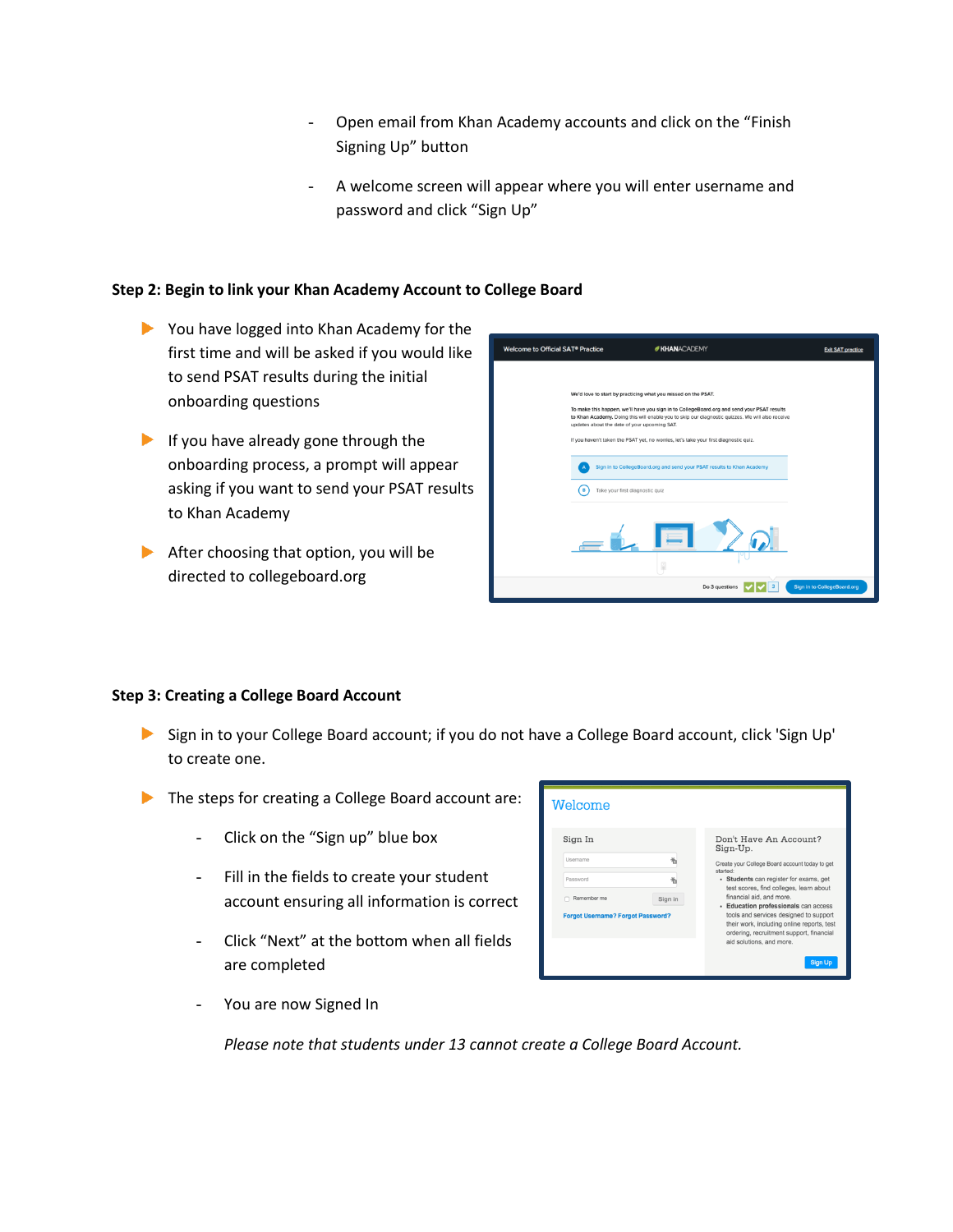- Open email from Khan Academy accounts and click on the "Finish Signing Up" button
- A welcome screen will appear where you will enter username and password and click "Sign Up"

## **Step 2: Begin to link your Khan Academy Account to College Board**

- You have logged into Khan Academy for the first time and will be asked if you would like to send PSAT results during the initial onboarding questions
- If you have already gone through the onboarding process, a prompt will appear asking if you want to send your PSAT results to Khan Academy
- $\blacktriangleright$  After choosing that option, you will be directed to collegeboard.org

| Welcome to Official SAT <sup>®</sup> Practice |                                                                                       | <b>KHANACADEMY</b>                                                                                                                                                                             | <b>Exit SAT practice</b>           |
|-----------------------------------------------|---------------------------------------------------------------------------------------|------------------------------------------------------------------------------------------------------------------------------------------------------------------------------------------------|------------------------------------|
|                                               |                                                                                       |                                                                                                                                                                                                |                                    |
|                                               | We'd love to start by practicing what you missed on the PSAT.                         |                                                                                                                                                                                                |                                    |
|                                               | updates about the date of your upcoming SAT.                                          | To make this happen, we'll have you sign in to CollegeBoard.org and send your PSAT results<br>to Khan Academy. Doing this will enable you to skip our diagnostic quizzes. We will also receive |                                    |
|                                               | If you haven't taken the PSAT yet, no worries, let's take your first diagnostic quiz. |                                                                                                                                                                                                |                                    |
|                                               |                                                                                       | Sign in to CollegeBoard.org and send your PSAT results to Khan Academy                                                                                                                         |                                    |
|                                               | ' B<br>Take your first diagnostic quiz                                                |                                                                                                                                                                                                |                                    |
|                                               | fo)                                                                                   |                                                                                                                                                                                                |                                    |
|                                               |                                                                                       | Do 3 questions                                                                                                                                                                                 | <b>Sign in to CollegeBoard.org</b> |

#### **Step 3: Creating a College Board Account**

- Sign in to your College Board account; if you do not have a College Board account, click 'Sign Up' to create one.
- The steps for creating a College Board account are:
	- Click on the "Sign up" blue box
	- Fill in the fields to create your student account ensuring all information is correct
	- Click "Next" at the bottom when all fields are completed



You are now Signed In

*Please note that students under 13 cannot create a College Board Account.*